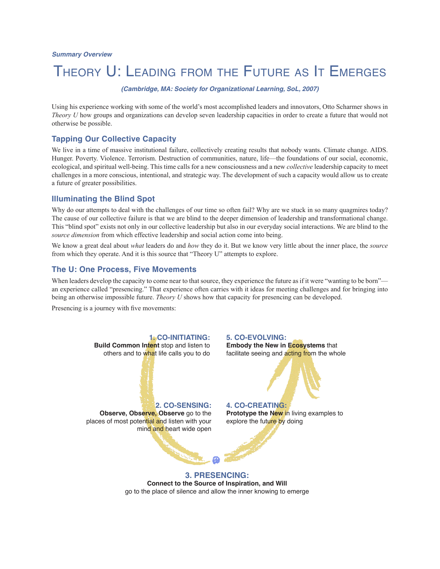# THEORY U: LEADING FROM THE FUTURE AS IT EMERGES

(Cambridge, MA: Society for Organizational Learning, SoL, 2007)

Using his experience working with some of the world's most accomplished leaders and innovators, Otto Scharmer shows in *Theory U* how groups and organizations can develop seven leadership capacities in order to create a future that would not otherwise be possible.

### **Tapping Our Collective Capacity**

We live in a time of massive institutional failure, collectively creating results that nobody wants. Climate change. AIDS. Hunger. Poverty. Violence. Terrorism. Destruction of communities, nature, life—the foundations of our social, economic, ecological, and spiritual well-being. This time calls for a new consciousness and a new *collective* leadership capacity to meet challenges in a more conscious, intentional, and strategic way. The development of such a capacity would allow us to create a future of greater possibilities.

#### **Illuminating the Blind Spot**

Why do our attempts to deal with the challenges of our time so often fail? Why are we stuck in so many quagmires today? The cause of our collective failure is that we are blind to the deeper dimension of leadership and transformational change. This "blind spot" exists not only in our collective leadership but also in our everyday social interactions. We are blind to the *source dimension* from which effective leadership and social action come into being.

We know a great deal about *what* leaders do and *how* they do it. But we know very little about the inner place, the *source* from which they operate. And it is this source that "Theory U" attempts to explore.

#### **The U: One Process, Five Movements**

When leaders develop the capacity to come near to that source, they experience the future as if it were "wanting to be born" an experience called "presencing." That experience often carries with it ideas for meeting challenges and for bringing into being an otherwise impossible future. *Theory U* shows how that capacity for presencing can be developed.

Presencing is a journey with five movements:



**Connect to the Source of Inspiration, and Will**  go to the place of silence and allow the inner knowing to emerge